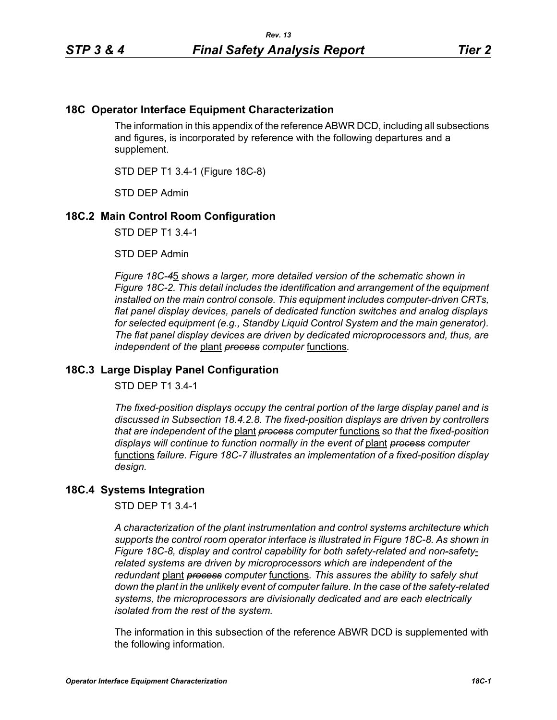## **18C Operator Interface Equipment Characterization**

The information in this appendix of the reference ABWR DCD, including all subsections and figures, is incorporated by reference with the following departures and a supplement.

STD DEP T1 3.4-1 (Figure 18C-8)

STD DEP Admin

## **18C.2 Main Control Room Configuration**

STD DEP T1 3.4-1

STD DEP Admin

*Figure 18C-4*5 *shows a larger, more detailed version of the schematic shown in Figure 18C-2. This detail includes the identification and arrangement of the equipment installed on the main control console. This equipment includes computer-driven CRTs, flat panel display devices, panels of dedicated function switches and analog displays for selected equipment (e.g., Standby Liquid Control System and the main generator). The flat panel display devices are driven by dedicated microprocessors and, thus, are independent of the* plant *process computer* functions*.*

## **18C.3 Large Display Panel Configuration**

STD DEP T1 3.4-1

*The fixed-position displays occupy the central portion of the large display panel and is discussed in Subsection 18.4.2.8. The fixed-position displays are driven by controllers that are independent of the* plant *process computer* functions *so that the fixed-position displays will continue to function normally in the event of* plant *process computer*  functions *failure. Figure 18C-7 illustrates an implementation of a fixed-position display design.*

## **18C.4 Systems Integration**

STD DEP T1 3.4-1

*A characterization of the plant instrumentation and control systems architecture which supports the control room operator interface is illustrated in Figure 18C-8. As shown in Figure 18C-8, display and control capability for both safety-related and non-safetyrelated systems are driven by microprocessors which are independent of the redundant* plant *process computer* functions*. This assures the ability to safely shut down the plant in the unlikely event of computer failure. In the case of the safety-related systems, the microprocessors are divisionally dedicated and are each electrically isolated from the rest of the system.*

The information in this subsection of the reference ABWR DCD is supplemented with the following information.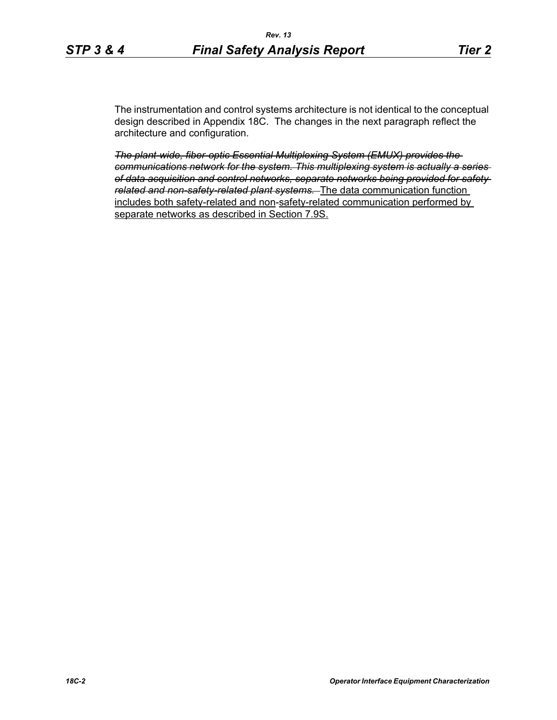The instrumentation and control systems architecture is not identical to the conceptual design described in Appendix 18C. The changes in the next paragraph reflect the architecture and configuration.

*The plant-wide, fiber-optic Essential Multiplexing System (EMUX) provides the communications network for the system. This multiplexing system is actually a series of data acquisition and control networks, separate networks being provided for safety related and non-safety-related plant systems.* The data communication function includes both safety-related and non-safety-related communication performed by separate networks as described in Section 7.9S.